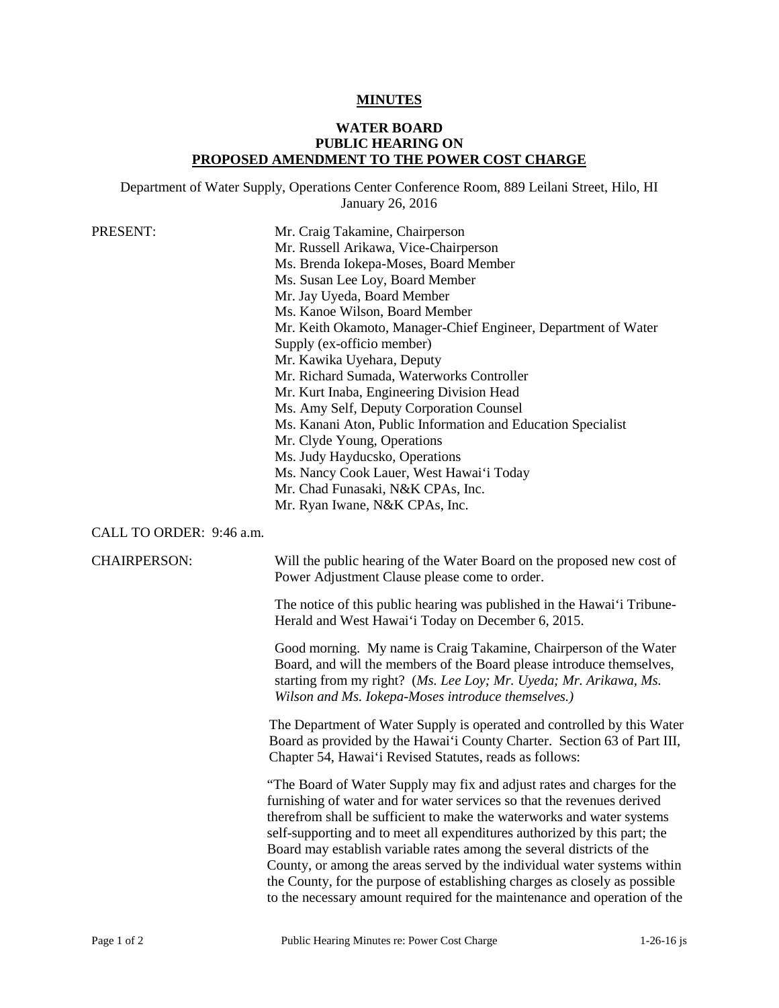## **MINUTES**

## **WATER BOARD PUBLIC HEARING ON PROPOSED AMENDMENT TO THE POWER COST CHARGE**

Department of Water Supply, Operations Center Conference Room, 889 Leilani Street, Hilo, HI January 26, 2016

| PRESENT: | Mr. Craig Takamine, Chairperson                                |
|----------|----------------------------------------------------------------|
|          | Mr. Russell Arikawa, Vice-Chairperson                          |
|          | Ms. Brenda Iokepa-Moses, Board Member                          |
|          | Ms. Susan Lee Loy, Board Member                                |
|          | Mr. Jay Uyeda, Board Member                                    |
|          | Ms. Kanoe Wilson, Board Member                                 |
|          | Mr. Keith Okamoto, Manager-Chief Engineer, Department of Water |
|          | Supply (ex-officio member)                                     |
|          | Mr. Kawika Uyehara, Deputy                                     |
|          | Mr. Richard Sumada, Waterworks Controller                      |
|          | Mr. Kurt Inaba, Engineering Division Head                      |
|          | Ms. Amy Self, Deputy Corporation Counsel                       |
|          | Ms. Kanani Aton, Public Information and Education Specialist   |
|          | Mr. Clyde Young, Operations                                    |
|          | Ms. Judy Hayducsko, Operations                                 |
|          | Ms. Nancy Cook Lauer, West Hawai'i Today                       |
|          | Mr. Chad Funasaki, N&K CPAs, Inc.                              |
|          | Mr. Ryan Iwane, N&K CPAs, Inc.                                 |
|          |                                                                |

## CALL TO ORDER: 9:46 a.m.

CHAIRPERSON: Will the public hearing of the Water Board on the proposed new cost of Power Adjustment Clause please come to order.

> The notice of this public hearing was published in the Hawai'i Tribune-Herald and West Hawai'i Today on December 6, 2015.

> Good morning. My name is Craig Takamine, Chairperson of the Water Board, and will the members of the Board please introduce themselves, starting from my right? (*Ms. Lee Loy; Mr. Uyeda; Mr. Arikawa, Ms. Wilson and Ms. Iokepa-Moses introduce themselves.)*

The Department of Water Supply is operated and controlled by this Water Board as provided by the Hawai'i County Charter. Section 63 of Part III, Chapter 54, Hawai'i Revised Statutes, reads as follows:

 furnishing of water and for water services so that the revenues derived self-supporting and to meet all expenditures authorized by this part; the "The Board of Water Supply may fix and adjust rates and charges for the therefrom shall be sufficient to make the waterworks and water systems Board may establish variable rates among the several districts of the County, or among the areas served by the individual water systems within the County, for the purpose of establishing charges as closely as possible to the necessary amount required for the maintenance and operation of the